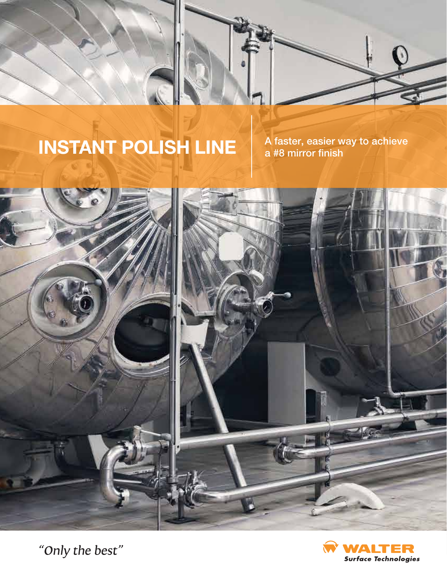

A faster, easier way to achieve<br>a #8 mirror finish



**O** 

**Surface Technologies** 

"Only the best"